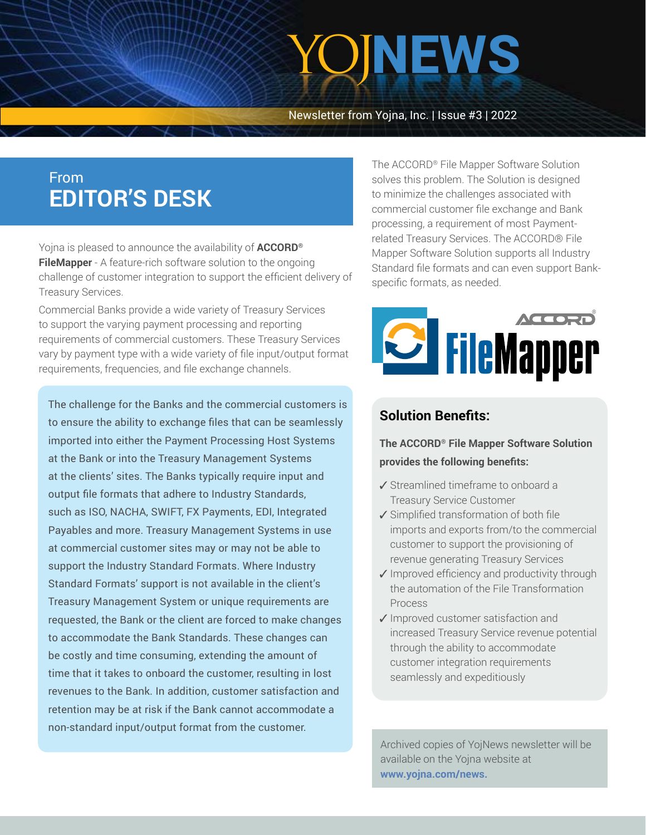# YOJNEWS

Newsletter from Yojna, Inc. | Issue #3 | 2022

## From **EDITOR'S DESK**

Yojna is pleased to announce the availability of **ACCORD® FileMapper** - A feature-rich software solution to the ongoing challenge of customer integration to support the efficient delivery of Treasury Services.

Commercial Banks provide a wide variety of Treasury Services to support the varying payment processing and reporting requirements of commercial customers. These Treasury Services vary by payment type with a wide variety of file input/output format requirements, frequencies, and file exchange channels.

The challenge for the Banks and the commercial customers is to ensure the ability to exchange files that can be seamlessly imported into either the Payment Processing Host Systems at the Bank or into the Treasury Management Systems at the clients' sites. The Banks typically require input and output file formats that adhere to Industry Standards, such as ISO, NACHA, SWIFT, FX Payments, EDI, Integrated Payables and more. Treasury Management Systems in use at commercial customer sites may or may not be able to support the Industry Standard Formats. Where Industry Standard Formats' support is not available in the client's Treasury Management System or unique requirements are requested, the Bank or the client are forced to make changes to accommodate the Bank Standards. These changes can be costly and time consuming, extending the amount of time that it takes to onboard the customer, resulting in lost revenues to the Bank. In addition, customer satisfaction and retention may be at risk if the Bank cannot accommodate a non-standard input/output format from the customer.

The ACCORD® File Mapper Software Solution solves this problem. The Solution is designed to minimize the challenges associated with commercial customer file exchange and Bank processing, a requirement of most Paymentrelated Treasury Services. The ACCORD® File Mapper Software Solution supports all Industry Standard file formats and can even support Bankspecific formats, as needed.



### **Solution Benefits:**

**The ACCORD® File Mapper Software Solution provides the following benefits:**

- $\checkmark$  Streamlined timeframe to onboard a Treasury Service Customer
- ✔ Simplified transformation of both file imports and exports from/to the commercial customer to support the provisioning of revenue generating Treasury Services
- ✔ Improved efficiency and productivity through the automation of the File Transformation Process
- $\sqrt{}$  Improved customer satisfaction and increased Treasury Service revenue potential through the ability to accommodate customer integration requirements seamlessly and expeditiously

Archived copies of YojNews newsletter will be available on the Yojna website at **[www.yojna.com/news.](https://www.yojna.com/news.html)**